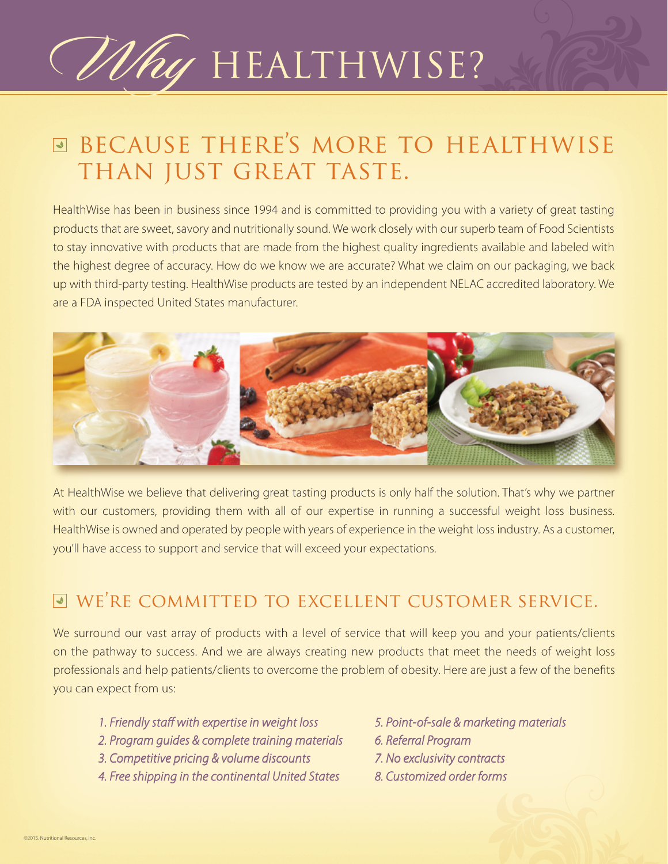## Why HEALTHWISE?

## $□$  **BECAUSE THERE'S MORE TO HEALTHWISE** THAN JUST GREAT TASTE.

HealthWise has been in business since 1994 and is committed to providing you with a variety of great tasting products that are sweet, savory and nutritionally sound. We work closely with our superb team of Food Scientists to stay innovative with products that are made from the highest quality ingredients available and labeled with the highest degree of accuracy. How do we know we are accurate? What we claim on our packaging, we back up with third-party testing. HealthWise products are tested by an independent NELAC accredited laboratory. We are a FDA inspected United States manufacturer.



At HealthWise we believe that delivering great tasting products is only half the solution. That's why we partner with our customers, providing them with all of our expertise in running a successful weight loss business. HealthWise is owned and operated by people with years of experience in the weight loss industry. As a customer, you'll have access to support and service that will exceed your expectations.

### we're committed to excellent customer service.

We surround our vast array of products with a level of service that will keep you and your patients/clients on the pathway to success. And we are always creating new products that meet the needs of weight loss professionals and help patients/clients to overcome the problem of obesity. Here are just a few of the benefits you can expect from us:

- 1. Friendly staff with expertise in weight loss *2. Program guides & complete training materials 3. Competitive pricing & volume discounts 4. Free shipping in the continental United States*
- *5. Point-of-sale & marketing materials*
- *6. Referral Program*
- *7. No exclusivity contracts*
- *8. Customized order forms*